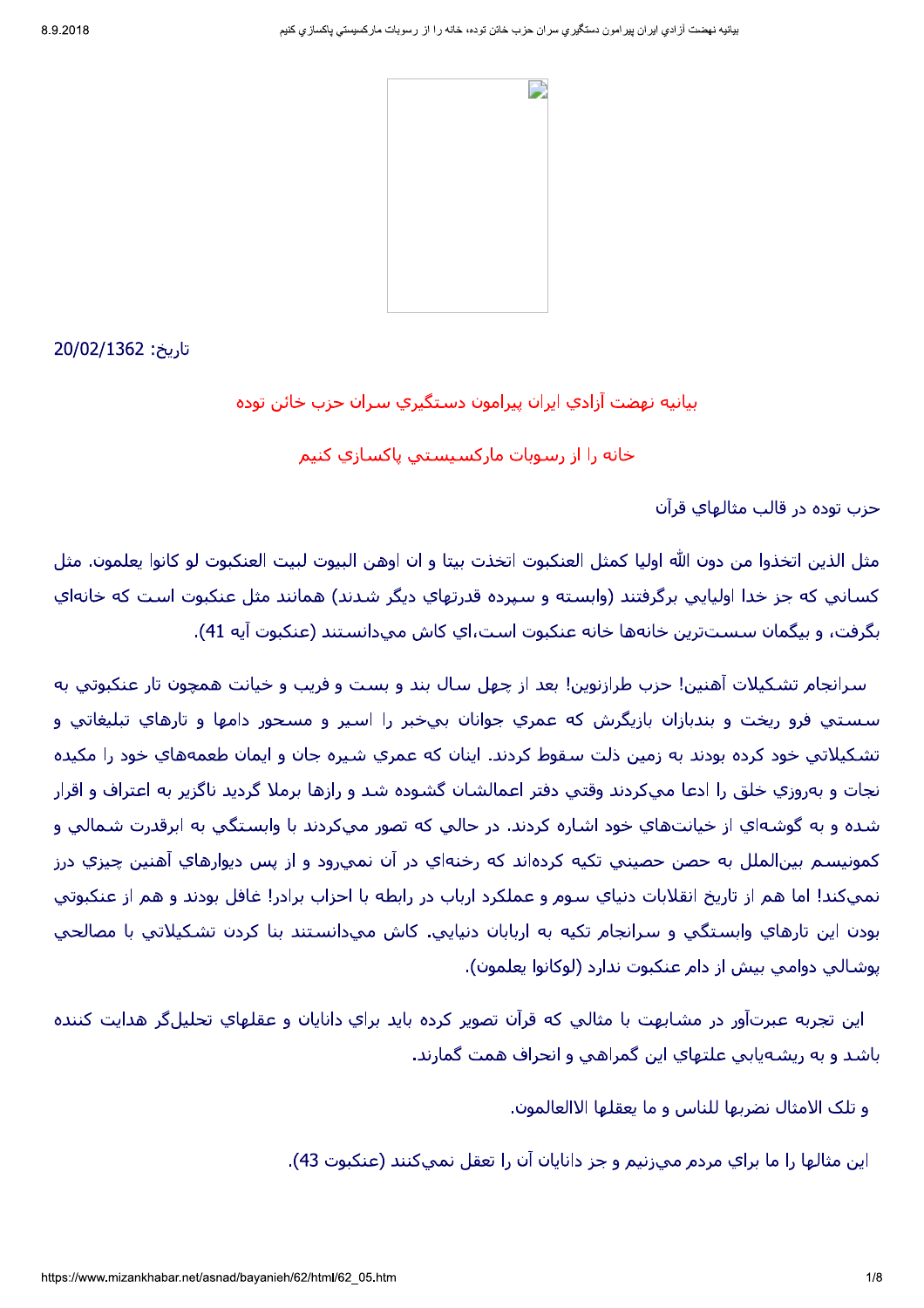بيانيه نهضت آزادي ايران پيرامون دستگيري سران حزب خائن توده

خانه را از رسوبات مارکسیستپ پاکسازی کنیم

حزب توده در قالب مثالهای قرآن

مثل الذين اتخذوا من دون الله اوليا كمثل العنكبوت اتخذت بيتا و ان اوهن البيوت لبيت العنكبوت لو كانوا يعلمون. مثل کساني که جز خدا اولپايي برگرفتند (وابسته و سپرده قدرتهاي ديگر شدند) همانند مثل عنکبوت است که خانهاي بگرفت، و بيگمان سستترين خانهها خانه عنكبوت است،اي كاش ميدانستند (عنكبوت آيه 41).

سرانجام تشكيلات آهنين! حزب طرازنوين! بعد از چهل سال بند و بست و فريب و خيانت همچون تار عنكبوتي به سستي فرو ريخت و بندبازان بازيگرش كه عمري جوانان بيخبر را اسير و مسحور دامها و تارهاي تبليغاتي و تشكيلاتي خود كرده بودند به زمين ذلت سقوط كردند. اينان كه عمري شيره جان و ايمان طعمههاي خود را مكيده نجات و بهروزي خلق را ادعا ميكردند وقتي دفتر اعمالشان گشوده شد و رازها برملا گرديد ناگزير به اعتراف و اقرار شده و به گوشـهاي از خيانت@اي خود اشـاره كردند. در حالي كه تصور ميكردند با وابسـتگي به ابرقدرت شـمالي و کمونيسـم بين|لملل به حصن حصيني تکيه کرده|ند که رخنه|ي در آن نمييرود و از پس ديوارهاي آهنين چيزي درز نمېکند! اما هم از تاريخ انقلابات دنياي سوم و عملکرد ارباب در رابطه با احزاب برادر! غافل بودند و هم از عنکبوتې يودن اين تارهاي وابستگي و سرانجام تکيه به اربابان دنيايي. کاش ميدانستند بنا کردن تشکيلاتي با مصالحي يوشالبي دوامبي بيش از دام عنكبوت ندارد (لوكانوا يعلمون).

اين تجربه عبرتآور در مشابهت با مثالي كه قرآن تصوير كرده بايد براي دانايان و عقلهاي تحليلگر هدايت كننده باشد و به ريشهيابي علتهاي اين گمراهي و انحراف همت گمارند.

و تلک الامثال نضربها للناس و ما يعقلها الاالعالمون.

اين مثالها را ما براي مردم ميرنيم و جز دانايان آن را تعقل نميكنند (عنكبوت 43).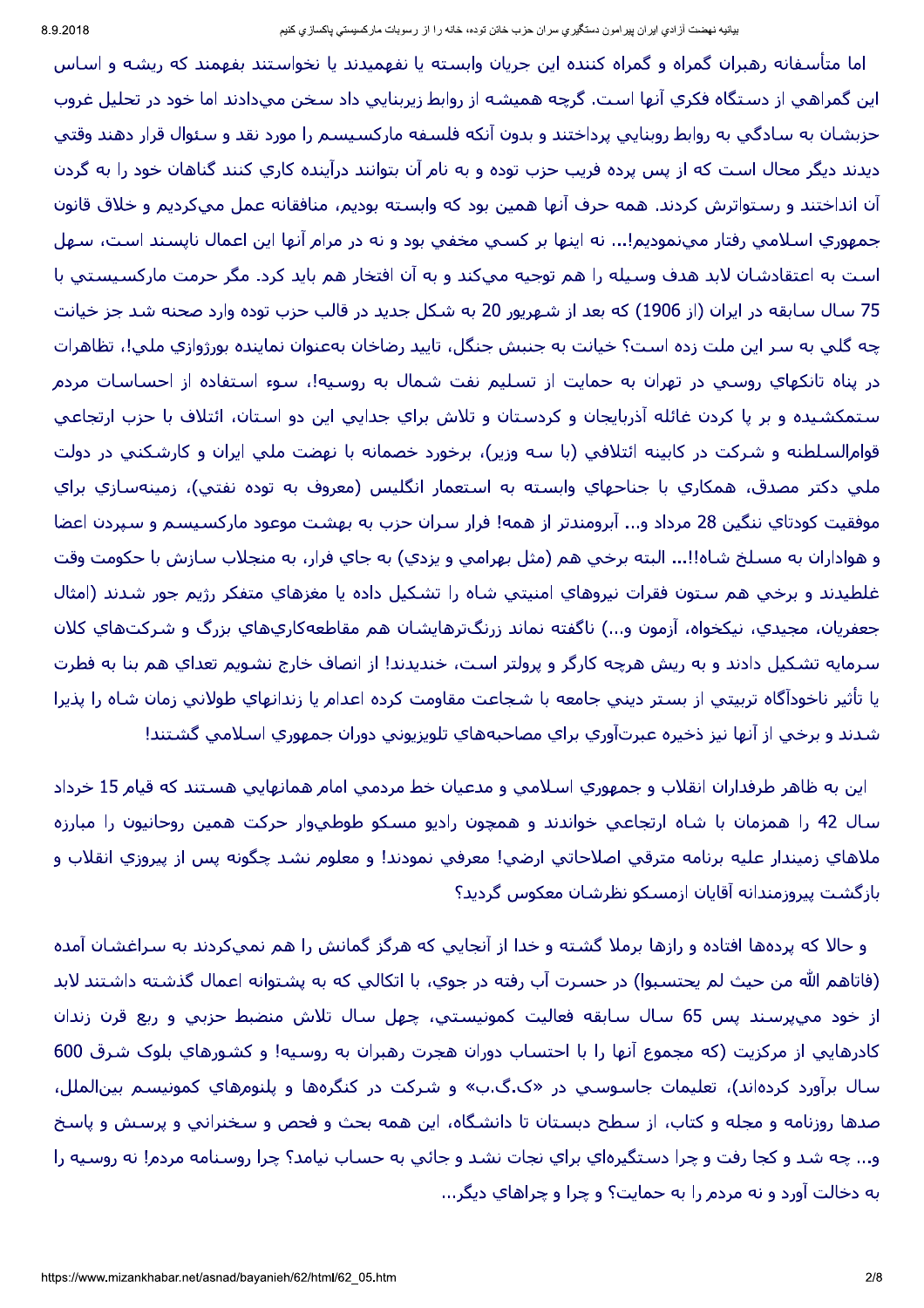اما متأسفانه رهبران گمراه و گمراه کننده این جریان وابسته یا نفهمیدند یا نخواستند بفهمند که ریشه و اساس اين گمراهي از دستگاه فكري آنها است. گرچه هميشه از روابط زيربنايي داد سخن ميدادند اما خود در تحليل غروب حزبشان به سادگی به روابط روبنایی پرداختند و بدون آنکه فلسفه مارکسیسم را مورد نقد و سئوال قرار دهند وقتی دیدند دیگر محال است که از پس پرده فریب حزب توده و به نام آن بتوانند درآینده کاری کنند گناهان خود را به گردن آن انداختند و رستواترش كردند. همه حرف آنها همين بود كه وابسته بوديم، منافقانه عمل ميكرديم و خلاق قانون جمهوري اسـلامي رفتار ميıنموديم!... نه اينها بر كسـي مخفـي بود و نه در مرام آنها اين اعمال ناپسـند اسـت، سـهل است به اعتقادشان لابد هدف وسيله را هم توجيه ميكند و به آن افتخار هم بايد كرد. مگر حرمت ماركسيستي با 75 سال سابقه در ايران (از 1906) كه بعد از شـهريور 20 به شـكل جديد در قالب حزب توده وارد صحنه شـد جز خيانت چه گلي به سر اين ملت زده است؟ خيانت به جنبش جنگل، تاييد رضاخان بهعنوان نماينده بورژوازي ملي!، تظاهرات در پناه تانكهاي روسـي در تهران به حمايت از تسـليم نفت شـمال به روسـيه!، سـوء اسـتفاده از احسـاسـات مردم ستمكشيده و بر پا كردن غائله آذربايجان و كردستان و تلاش براي جدايي اين دو استان، ائتلاف با حزب ارتجاعي قوامالسلطنه و شـركت در كابينه ائتلافي (با سـه وزير)، برخورد خصمانه با نهضت ملي ايران و كارشـكني در دولت ملي دکتر مصدق، همکاري با جناحهاي وابسته به استعمار انگليس (معروف به توده نفتي)، زمينهسازي براي موفقيت كودتاي ننگين 28 مرداد و... آبرومندتر از همه! فرار سران حزب به بهشت موعود ماركسيسم و سپردن اعضا و هواداران به مسـلخ شـاه!!... البته برخـي هم (مثل بهرامـي و يزدي) به جاي فرار، به منجلاب سـازش با حكومت وقت غلطيدند و برخي هم ستون فقرات نيروهاي امنيتي شاه را تشكيل داده يا مغزهاي متفكر رژيم جور شدند (امثال جعفريان، مجيدي، نيكخواه، آزمون و...) ناگفته نماند زرنگترهايشان هم مقاطعهكاري@اي بزرگ و شـركتهاي كلان سرمایه تشکیل دادند و به ریش هرچه کارگر و پرولتر است، خندیدند! از انصاف خارج نشویم تعدای هم بنا به فطرت يا تأثير ناخودآگاه تربيتي از بستر ديني جامعه با شجاعت مقاومت كرده اعدام يا زندانهاي طولاني زمان شاه را پذيرا شدند و برخي از آنها نيز ذخيره عبرتآوري براي مصاحبههاي تلويزيوني دوران جمهوري اسـلامي گشـتند!

اين به ظاهر طرفداران انقلاب و جمهوري اسـلامي و مدعيان خط مردمي امام همانهايي هسـتند كه قيام 15 خرداد سـال 42 را همزمان با شـاه ارتجاعـي خواندند و همچون راديو مسـكو طوطـيوار حركت همين روحانيون را مبارزه ملاهاي زميندار عليه برنامه مترقي اصلاحاتي ارضي! معرفي نمودند! و معلوم نشد چگونه پس از پيروزي انقلاب و بازگشت پیروزمندانه آقایان ازمسکو نظرشان معکوس گردید؟

و حالا كه پردهها افتاده و رازها برملا گشته و خدا از آنجايي كه هرگز گمانش را هم نميكردند به سـراغشـان آمده (فاتاهم الله من حيث لم يحتسبوا) در حسرت آب رفته در جوي، با اتكالي كه به پشتوانه اعمال گذشته داشتند لابد از خود ميپرسند پس 65 سال سابقه فعاليت كمونيستي، چهل سال تلاش منضبط حزبي و ربع قرن زندان كادرهايي از مركزيت (كه مجموع آنها را با احتساب دوران هجرت رهبران به روسيه! و كشورهاي بلوك شرق 600 سال برآورد کردهاند)، تعلیمات جاسـوسـي در «ک.گ.ب» و شـرکت در کنگرهها و پلنومهاي کمونیسـم بین|لملل، صدها روزنامه و مجله و کتاب، از سطح دبستان تا دانشگاه، این همه بحث و فحص و سخنرانی و پرسش و پاسخ و... چه شد و کجا رفت و چرا دستگیرهاي براي نجات نشد و جائبي به حساب نيامد؟ چرا روسنامه مردم! نه روسيه را به دخالت آورد و نه مردم را به حمایت؟ و چرا و چراهاي دیگر...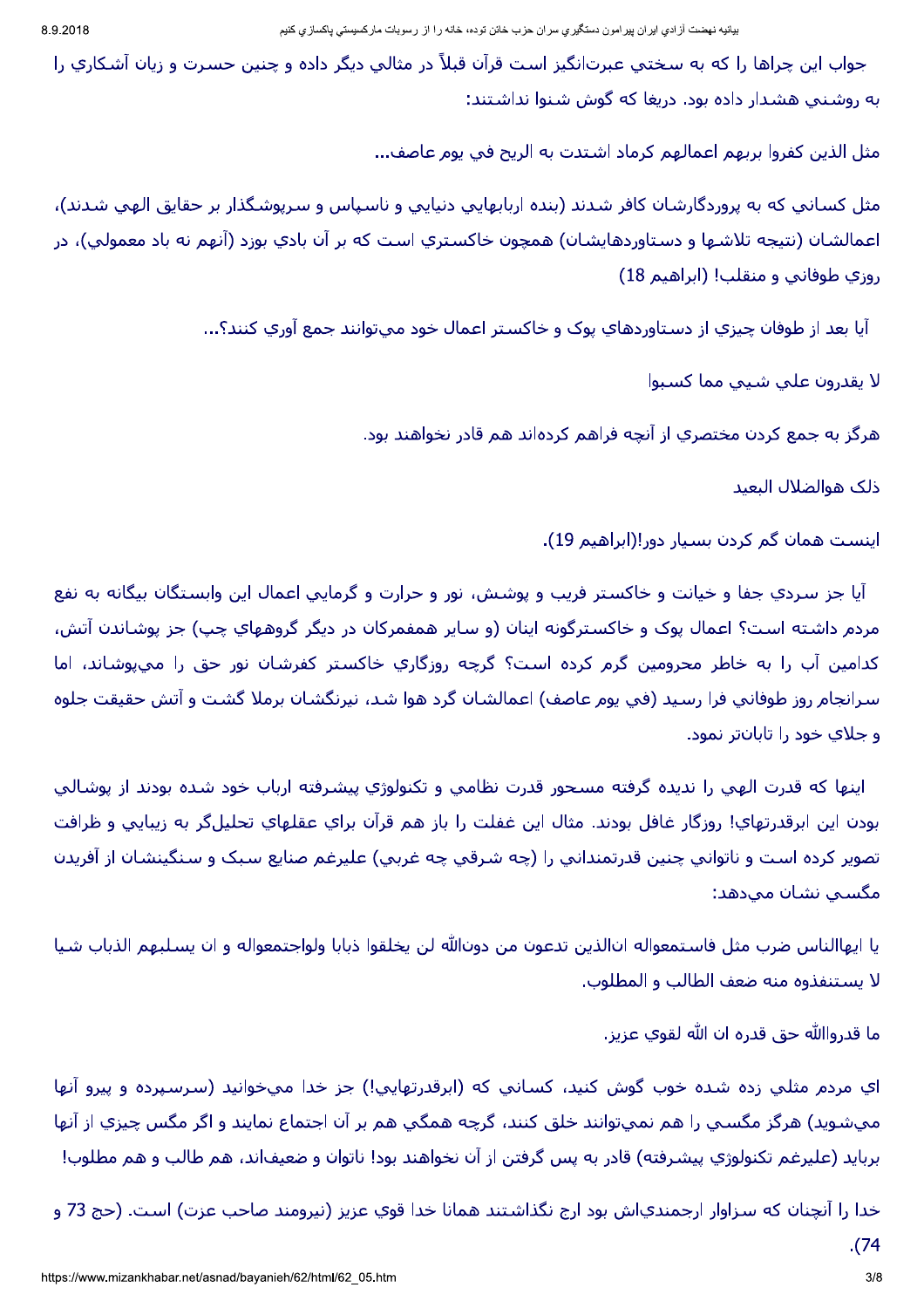جواب اين چراها را كه به سختي عبرت|نگيز است قرآن قبلاً در مثالي ديگر داده و چنين حسرت و زيان آشكاري را به روشنی هشدار داده بود. دریغا که گوش شنوا نداشتند:

مثل الذين كفروا بربهم اعمالهم كرماد اشتدت به الريح في يوم عاصف...

مثل كساني كه به پروردگارشان كافر شدند (بنده اربابهايي دنيايي و ناسپاس و سرپوشگذار بر حقايق الهي شدند)، اعمالشان (نتيجه تلاشـها و دسـتاوردهايشـان) همچون خاكسـتري اسـت كه بر آن بادي بوزد (آنهم نه باد معمولي)، در روزي طوفاني و منقلب! (ابراهيم 18)

آيا بعد از طوفان چيزي از دستاوردهاي پوک و خاکستر اعمال خود ميتوانند جمع آوري کنند؟...

لا يقدرون على شيبي مما كسبوا

هرگز به جمع کردن مختصري از آنچه فراهم کردهاند هم قادر نخواهند بود.

ذلك هوالضلال البعيد

اینست همان گم کردن بسیار دور!(ابراهیم 19).

آيا جز سردي جفا و خيانت و خاكستر فريب و پوشش، نور و حرارت و گرمايي اعمال اين وابستگان بيگانه به نفع مردم داشته است؟ اعمال پوک و خاکسترگونه اینان (و سایر همفمرکان در دیگر گروههاي چپ) جز پوشاندن آتش، كدامين آب را به خاطر محرومين گرم كرده است؟ گرچه روزگاري خاكستر كفرشان نور حق را ميپوشاند، اما سرانجام روز طوفاني فرا رسيد (في يوم عاصف) اعمالشان گرد هوا شد، نيرنگشان برملا گشت و آتش حقيقت جلوه و جلاي خود را تابانتر نمود.

اینها که قدرت الهی را ندیده گرفته مسحور قدرت نظامی و تکنولوژي پیشرفته ارباب خود شده بودند از پوشالی بودن اين ابرقدرتهاي! روزگار غافل بودند. مثال اين غفلت را باز هم قرآن براي عقلهاي تحليلگر به زيبايي و ظرافت تصوير كرده است و ناتواني چنين قدرتمنداني را (چه شـرقي چه غربي) عليرغم صنايع سـبک و سـنگينشـان از آفريدن مگسبي نشان ميدهد:

يا ايهاالناس ضرب مثل فاستمعواله انالذين تدعون من دونالله لن يخلقوا ذبابا ولواجتمعواله و ان يسلبهم الذباب شيا لا يستنفذوه منه ضعف الطالب و المطلوب.

ما قدرواﷲ حق قدره ان الله لقوي عزيز.

اي مردم مثلي زده شده خوب گوش كنيد، كساني كه (ابرقدرتهايي!) جز خدا ميخوانيد (سرسپرده و پيرو آنها ميشويد) هرگز مگسـي را هم نميتوانند خلق كنند، گرچه همگي هم بر آن اجتماع نمايند و اگر مگس چيزي از آنها بربايد (عليرغم تكنولوژي پيشـرفته) قادر به پس گرفتن از آن نخواهند بود! ناتوان و ضعيف|ند، هم طالب و هم مطلوب!

خدا را آنچنان که سـزاوار ارجمندياش بود ارج نگذاشـتند همانا خدا قوي عزيز (نيرومند صاحب عزت) اسـت. (حج 73 و .(74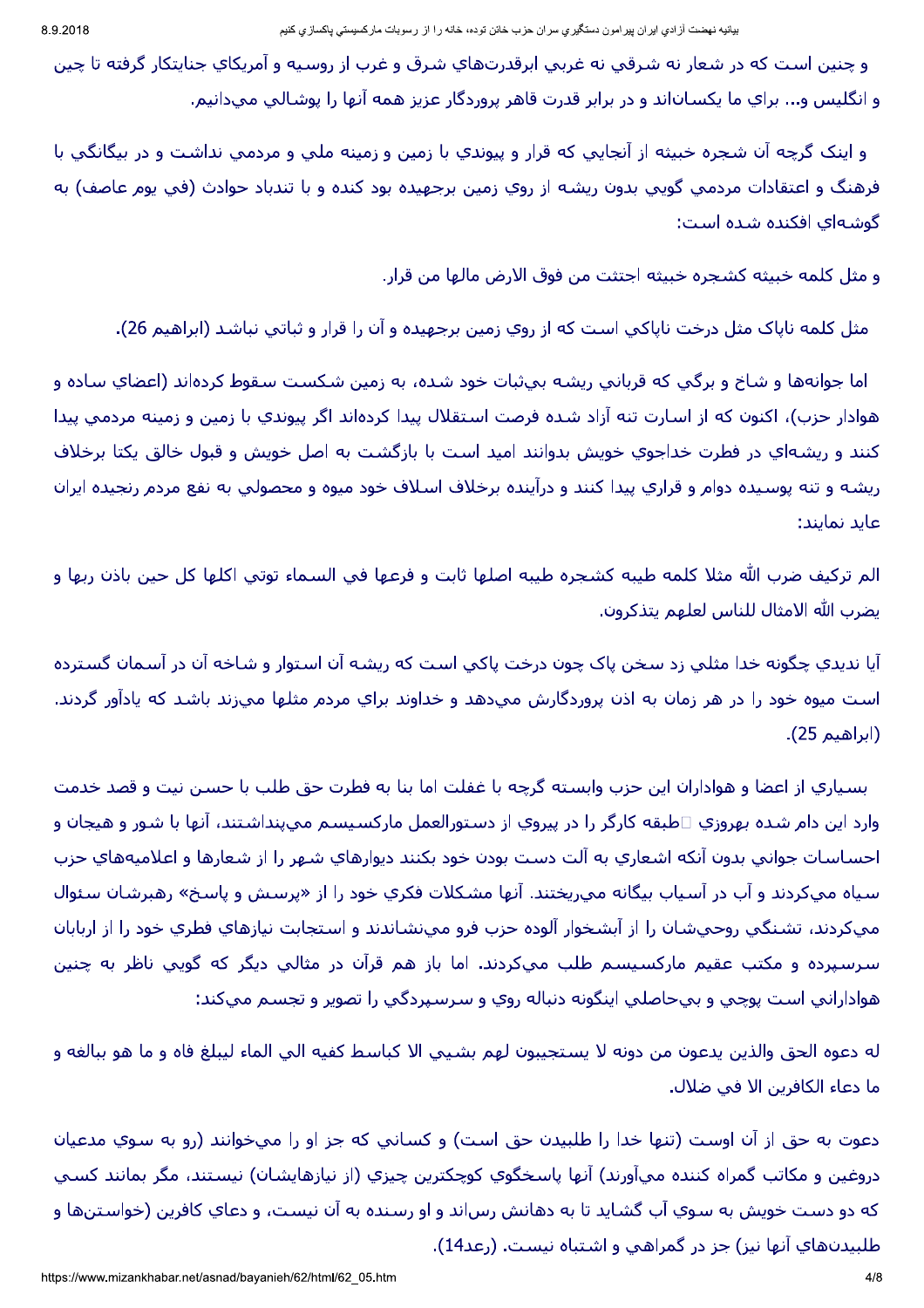و چنين است كه در شعار نه شرقي نه غربي ابرقدرتهاي شرق و غرب از روسيه و آمريكاي جنايتكار گرفته تا چين و انگليس و... براي ما يکسـان|ند و در برابر قدرت قاهر پروردگار عزيز همه آنها را پوشـالي ميدانيم.

و اينک گرچه آن شجره خبيثه از آنجايي که قرار و پيوندي با زمين و زمينه ملي و مردمي نداشت و در بيگانگي با فرهنگ و اعتقادات مردمی گویی بدون ریشه از روي زمين برجهيده بود كنده و با تندباد حوادث (في پوم عاصف) به گوشـهاي افكنده شـده اسـت:

و مثل كلمه خبيثه كشجره خبيثه اجتثت من فوق الارض مالها من قرار.

مثل کلمه ناپاک مثل درخت ناپاکپ است که از روي زمين برجهيده و آن را قرار و ثباتپ نباشد (ابراهيم 26).

اما جوانهها و شـاخ و برگـي كه قرباني ريشـه بيثبات خود شـده، به زمين شـكست سـقوط كردهاند (اعضاي سـاده و هوادار حزب)، اكنون كه از اسـارت تنه آزاد شـده فرصت اسـتقلال پيدا كردهاند اگر پيوندي با زمين و زمينه مردمي پيدا کنند و ریشهای در فطرت خداجوی خویش بدوانند امید است با بازگشت به اصل خویش و قبول خالق یکتا برخلاف ريشـه و تنه پوسـيده دوام و قراري پيدا كنند و درآينده برخلاف اسـلاف خود ميوه و محصولي به نفع مردم رنجيده ايران عايد نمايند:

الم تركيف ضرب الله مثلا كلمه طيبه كشجره طيبه اصلها ثابت و فرعها في السـماء توتي اكلـها كل حين باذن ربها و يضرب الله الامثال للناس لعلهم يتذكرون.

آيا نديدي چگونه خدا مثلي زد سخن پاک چون درخت پاکي است که ريشه آن استوار و شاخه آن در آسمان گسترده است ميوه خود را در هر زمان به اذن پروردگارش مېدهد و خداوند براي مردم مثلها مېزند باشد كه پادآور گردند. (ابراهيم 25).

بسياري از اعضا و هواداران اين حزب وابسته گرچه با غفلت اما بنا به فطرت حق طلب با حسن نيت و قصد خدمت وارد اين دام شده بهروزي □طبقه كارگر را در پيروي از دستورالعمل ماركسيسم ميپنداشتند، آنها با شور و هيجان و احساسات جوانبي بدون آنكه اشعاري به آلت دست بودن خود بكنند ديوارهاي شـهر را از شعارها و اعلاميههاي حزب سياه ميكردند و آب در آسياب بيگانه ميريختند. آنها مشكلات فكري خود را از «پرسش و پاسخ» رهبرشان سئوال ميكردند، تشنگي روحيشان را از آبشخوار آلوده حزب فرو ميµنشاندند و استجابت نيازهاي فطري خود را از اربابان سرسپرده و مکتب عقيم مارکسيسم طلب ميکردند. اما باز هم قرآن در مثالي ديگر که گويي ناظر به چنين هوادارانبي است پوچي و بيحاصلي اينگونه دنباله روي و سرسپردگي را تصوير و تجسم ميکند:

له دعوه الحق والذين يدعون من دونه لا يستجيبون لهم بشـيبي الا كباسط كفيه الـي الماء ليبلغ فاه و ما هو ببالغه و ما دعاء الكافرين الأ في ضلال.

دعوت به حق از آن اوست (تنها خدا را طلبيدن حق است) و كساني كه جز او را ميخوانند (رو به سوي مدعيان دروغين و مكاتب گمراه كننده ميآورند) آنها پاسخگوي كوچكترين چيزي (از نيازهايشان) نيستند، مگر بمانند كسـي که دو دست خويش به سوي آب گشايد تا به دهانش رساند و او رسنده به آن نيست، و دعاي کافرين (خواستنها و طلبيدنهاي آنها نيز) جز در گمراهي و اشتباه نيست. (رعد14).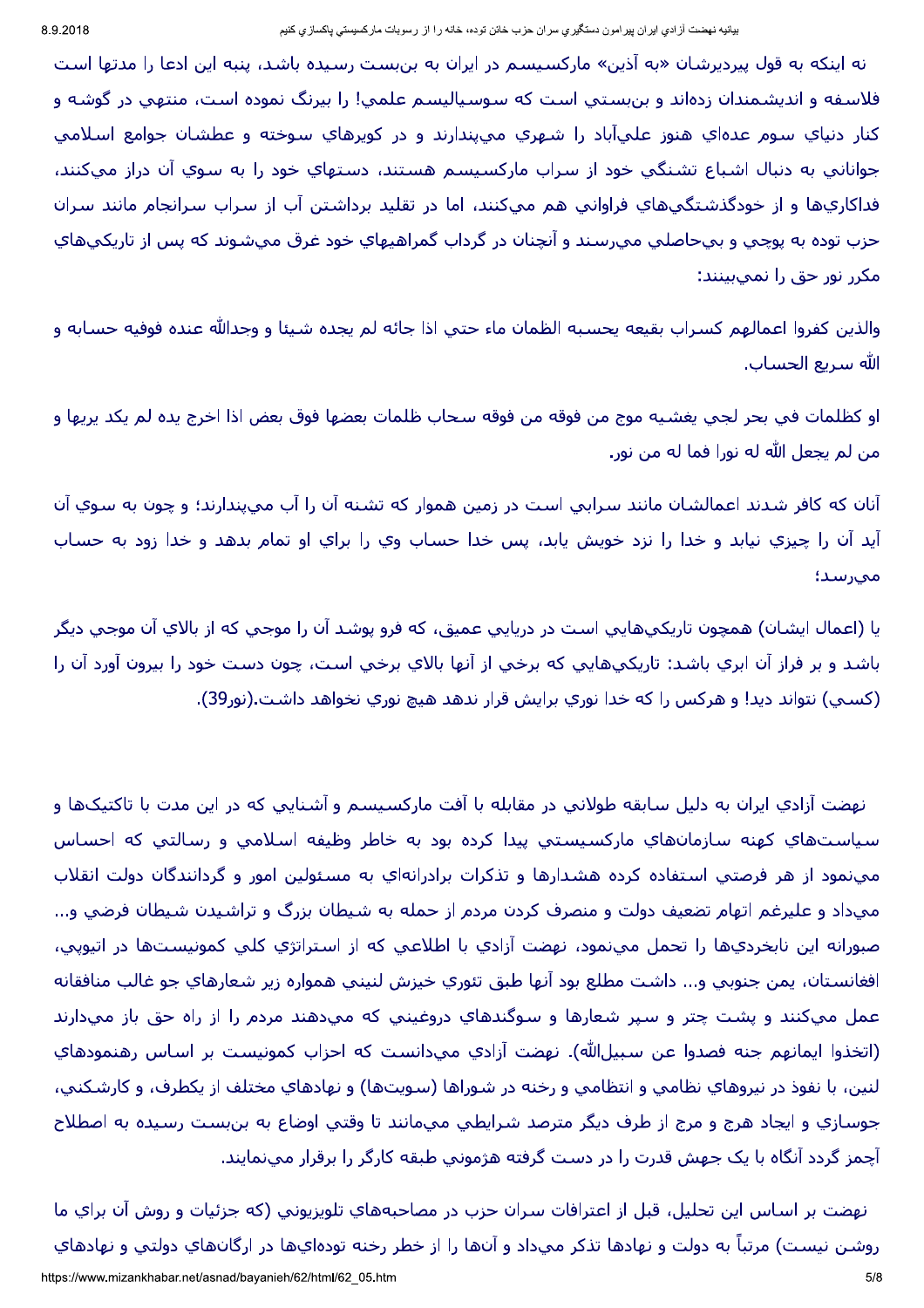نه اینکه به قول پیردیرشان «به آذین» مارکسیسم در ایران به بنبست رسیده باشد، پنبه این ادعا را مدتها است فلاسفه و انديشمندان زدهاند و بنبستي است كه سوسياليسم علمي! را بيرنگ نموده است، منتهي در گوشه و کنار دنياي سـوم عدهاي هنوز عليآباد را شـهري مييندارند و در کوپرهاي سـوخته و عطشـان جوامع اسـلامي جواناني به دنبال اشـباع تشـنگـي خود از سـراب ماركسـيسـم هسـتند، دسـتهاي خود را به سـوي آن دراز ميكنند، فداکاريها و از خودگذشتگېهاي فراوانې هم مېکنند، اما در تقليد برداشتن آب از سراب سرانجام مانند سران حزب توده به پوچي و بيحاصلي ميرسند و آنچنان در گرداب گمراهيهاي خود غرق ميشـوند كه پس از تاريكيهاي مکرر نور حق را نمپ،بینند:

والذين كفروا اعمالهم كسراب بقيعه يحسبه الظمان ماء حتى اذا جائه لم يجده شيئا و وجدالله عنده فوفيه حسابه و الله سريع الحساب.

او كظلمات في بحر لجي يغشـيه موج من فوقه من فوقه سـحاب ظلمات بعضها فوق بعض اذا اخرج يده لم يكد يريها و من لم يجعل الله له نورا فما له من نور.

آنان که کافر شدند اعمالشان مانند سرابي است در زمين هموار که تشنه آن را آب ميپندارند؛ و چون به سـوي آن أيد آن را چيزي نيابد و خدا را نزد خويش يابد، پس خدا حساب وي را براي او تمام بدهد و خدا زود به حساب مىرسد؛

يا (اعمال ايشـان) همچون تاريکيهايي اسـت در دريايي عميق، که فرو پوشـد آن را موجي که از بالاي آن موجي ديگر باشد و بر فراز آن ابري باشد: تاريکېهايې که برخې از آنها بالاي برخې است، چون دست خود را بيرون آورد آن را (کسپي) نتواند ديد! و هرکس را که خدا نوري برايش قرار ندهد هيچ نوري نخواهد داشت.(نور39).

نهضت آزادي ايران به دليل سابقه طولاني در مقابله با آفت ماركسيسم و آشنايي كه در اين مدت با تاكتيكها و سياست@اي كهنه سازمانهاي ماركسيستي پيدا كرده بود به خاطر وظيفه اسلامي و رسالتي كه احساس مېنمود از هر فرصتې استفاده کرده هشدارها و تذکرات برادرانهاي به مسئولين امور و گردانندگان دولت انقلاب ميداد و عليرغم اتهام تضعيف دولت و منصرف كردن مردم از حمله به شـيطان بزرگ و تراشـيدن شـيطان فرضي و... صبورانه اين نابخرديها را تحمل مينمود، نهضت آزادي با اطلاعي كه از استراتژي كلي كمونيستها در اتيوپي، افغانستان، يمن جنوبي و... داشت مطلع بود آنها طبق تئوري خيزش لنيني همواره زير شعارهاي جو غالب منافقانه عمل مميكنند و پشت چتر و سپر شعارها و سوگندهاي دروغيني كه ميدهند مردم را از راه حق باز مميدارند (اتخذوا ايمانهم جنه فصدوا عن سبيلﷲ). نهضت آزادي ميدانست كه احزاب كمونيست بر اساس رهنمودهاي لنين، با نفوذ در نيروهاي نظامي و انتظامي و رخنه در شوراها (سويتها) و نهادهاي مختلف از يكطرف، و كارشكني، جوسازي و ايجاد هرج و مرج از طرف ديگر مترصد شرايطي ميمانند تا وقتي اوضاع به بنبست رسيده به اصطلاح آچمز گردد آنگاه با يک جهش قدرت را در دست گرفته هژموني طبقه کارگر را برقرار مينمايند.

نهضت بر اسـاس اين تحليل، قبل از اعترافات سـران حزب در مصاحبههاي تلويزيوني (كه جزئيات و روش آن براي ما روشـن نيسـت) مرتباً به دولت و نهادها تذكر ميداد و آنها را از خطر رخنه تودهايها در ارگانهاي دولتي و نهادهاي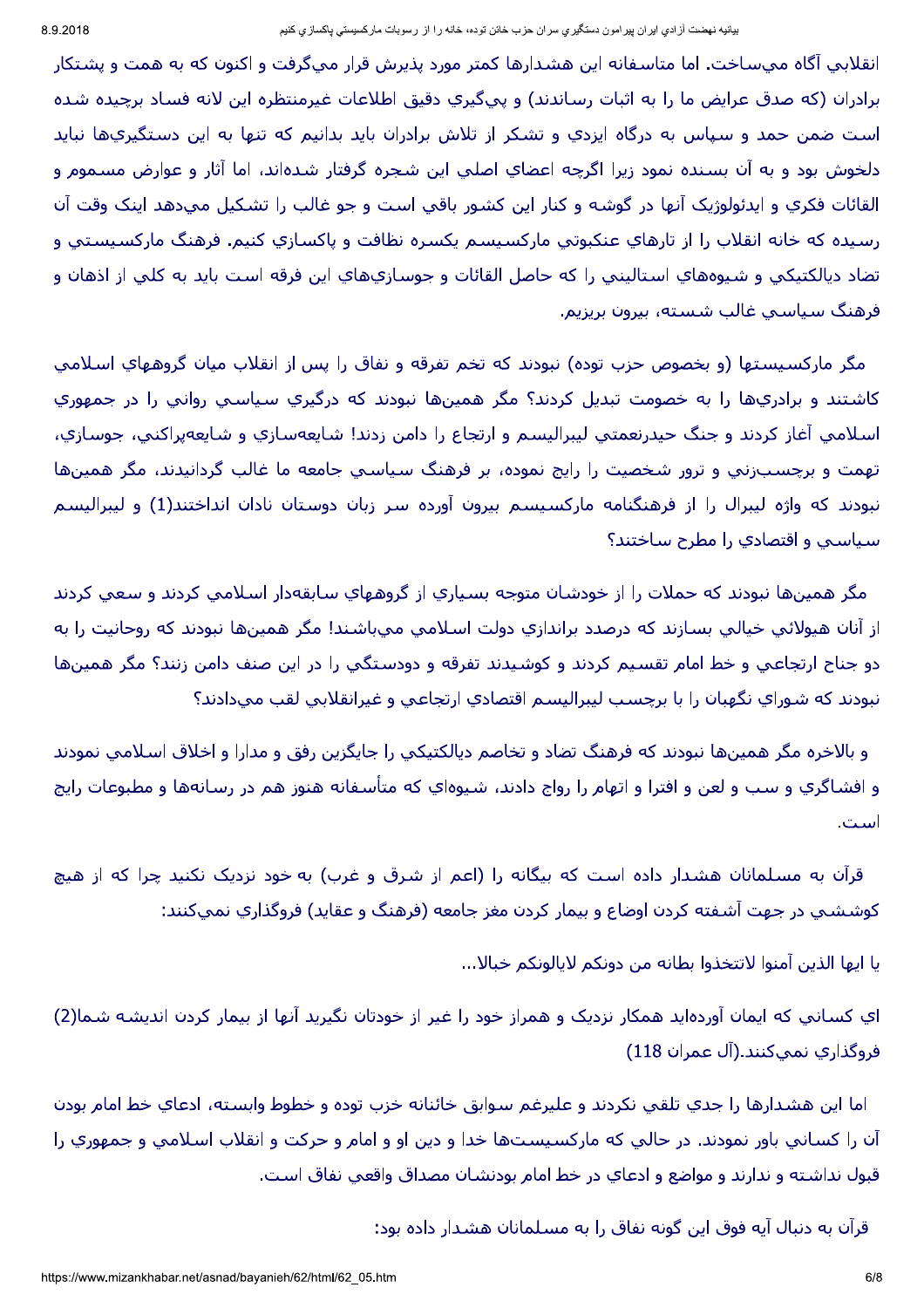انقلابی آگاه میساخت. اما متاسفانه این هشدارها کمتر مورد پذیرش قرار میگرفت و اکنون که به همت و پشتکار برادران (که صدق عرایض ما را به اثبات رساندند) و پېگېري دقیق اطلاعات غیرمنتظره این لانه فساد پرچیده شده است ضمن حمد و سپاس به درگاه ایزدي و تشکر از تلاش برادران باید بدانیم که تنها به این دستگیريها نباید دلخوش بود و به آن بسنده نمود زيرا اگرچه اعضاي اصلي اين شجره گرفتار شدهاند، اما آثار و عوارض مسـموم و القائات فكري و ايدئولوژيک آنها در گوشـه و كنار اين كشـور باقي اسـت و جو غالب را تشـكيل ميدهد اينک وقت آن رسيده كه خانه انقلاب را از تارهاي عنكبوتي ماركسيسم يكسره نظافت و پاكسازي كنيم. فرهنگ ماركسيستي و تضاد ديالكتيكي و شيوههاي استاليني را كه حاصل القائات و جوسازيهاي اين فرقه است بايد به كلي از اذهان و فرهنگ سیاسپ غالب شسته، بیرون بریزیم.

مگر ماركسيستها (و بخصوص حزب توده) نبودند كه تخم تفرقه و نفاق را پس از انقلاب ميان گروههاي اسـلامي کاشتند و برادريها را به خصومت تبديل کردند؟ مگر همينها نبودند که درگيري سياسپ روانپ را در جمهوري اسلامي آغاز كردند و جنگ حيدرنعمتي ليبراليسم و ارتجاع را دامن زدند! شايعهسازي و شايعهپراكني، جوسازي، تهمت و برچسبزني و ترور شخصيت را رايج نموده، بر فرهنگ سـياسـي جامعه ما غالب گردانيدند، مگر همينها نبودند که واژه لیبرال را از فرهنگنامه مارکسیسم بیرون آورده سر زبان دوستان نادان انداختند(1) و لیبرالیسم سياسيي و اقتصادي را مطرح ساختند؟

مگر همينها نبودند كه حملات را از خودشان متوجه بسياري از گروههاي سابقهدار اسلامي كردند و سعي كردند از آنان هيولائي خيالي بسازند كه درصدد براندازي دولت اسلامي ميباشند! مگر همينها نبودند كه روحانيت را به دو جناح ارتجاعي و خط امام تقسيم كردند و كوشيدند تفرقه و دودستگي را در اين صنف دامن زنند؟ مگر همينها نبودند که شوراي نگهبان را با برچسب ليبراليسم اقتصادي ارتجاعي و غيرانقلابي لقب ميدادند؟

و بالاخره مگر همينها نبودند كه فرهنگ تضاد و تخاصم ديالكتيكي را جايگزين رفق و مدارا و اخلاق اسـلامي نمودند و افشـاگري و سـب و لعن و افترا و اتهام را رواج دادند، شـيوهاي كه متأسـفانه هنوز هم در رسـانهها و مطبوعات رايج است.

قرآن به مسلمانان هشدار داده است که بیگانه را (اعم از شرق و غرب) به خود نزدیک نکنید چرا که از هیچ كوششيي در جهت آشفته كردن اوضاع و بيمار كردن مغز جامعه (فرهنگ و عقايد) فروگذاري نميكنند:

يا ايها الذين آمنوا لاتتخذوا بطانه من دونكم لايالونكم خبالا...

اي کساني که ايمان آوردهايد همکار نزديک و همراز خود را غير از خودتان نگيريد آنها از بيمار کردن انديشه شما(2) فروگذاري نميکنند.(آل عمران 118)

اما اين هشدارها را جدي تلقي نكردند و عليرغم سوابق خائنانه خزب توده و خطوط وابسته، ادعاي خط امام بودن آن را كساني باور نمودند. در حالي كه ماركسيستها خدا و دين او و امام و حركت و انقلاب اسلامي و جمهوري را قبول نداشته و ندارند و مواضع و ادعاي در خط امام بودنشان مصداق واقعي نفاق است.

قرآن به دنبال آيه فوق اين گونه نفاق را به مسـلمانان هشـدار داده بود: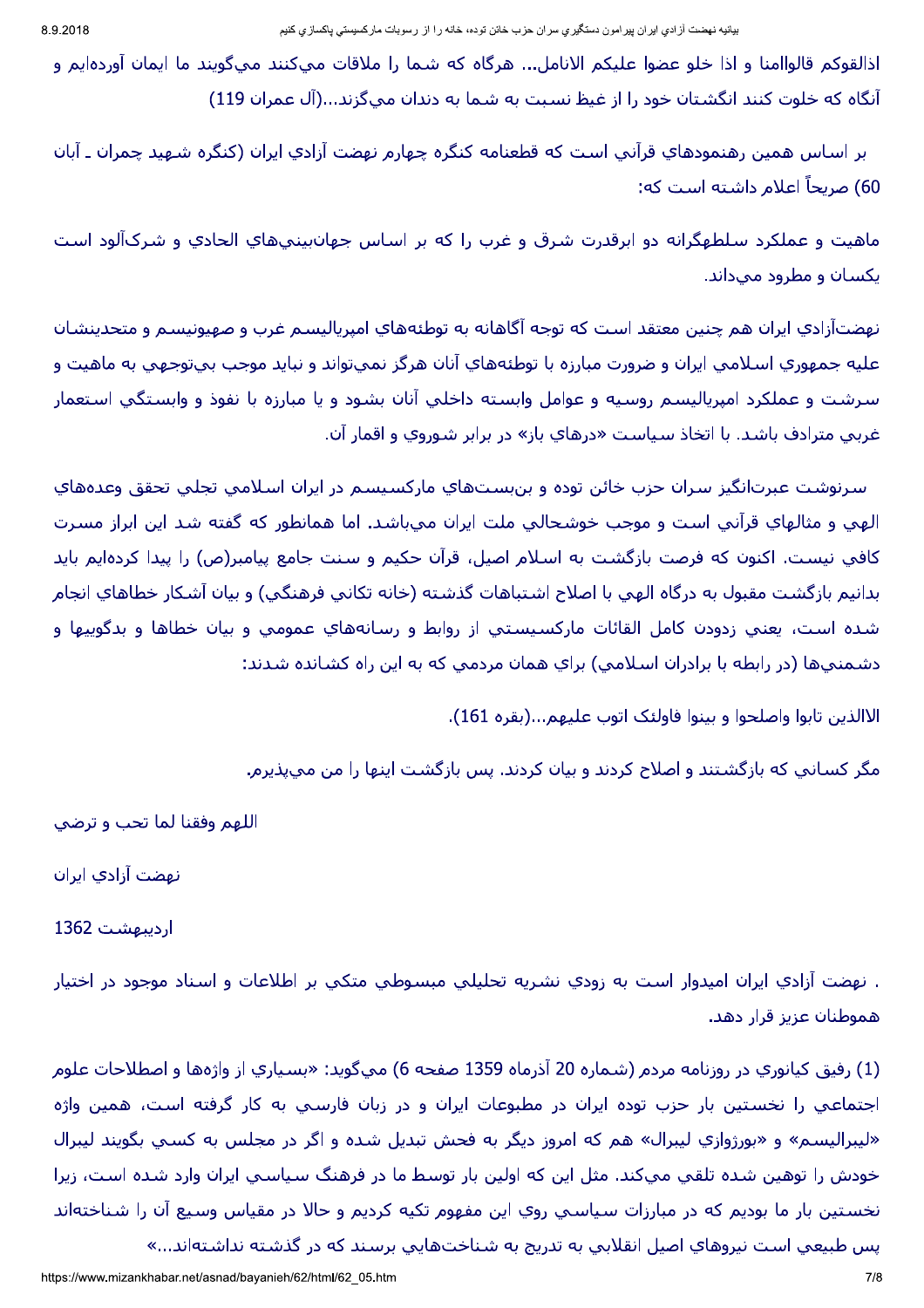اذالقوكم قالواامنا و اذا خلو عضوا عليكم الانامل... هرگاه كه شـما را ملاقات مىكنند مىگويند ما ايمان آوردهايم و آنگاه که خلوت کنند انگشتان خود را از غیظ نسبت به شما به دندان میگزند...(آل عمران 119)

ير اسـاس همين رهنمودهاي قرآني اسـت که قطعنامه کنگره چهارم نهضت آزادي ايران (کنگره شـهيد چمران ـ آبان 60) صريحاً اعلام داشته است كه:

ماهيت و عملكرد سلطهگرانه دو ابرقدرت شرق و غرب را كه بر اساس جهانڢينيهاي الحادي و شركآلود است یکسان و مطرود میداند.

نهضتآزادي ايران هم چنين معتقد است كه توجه آگاهانه به توطئههاي امپرياليسم غرب و صهيونيسم و متحدينشان عليه جمهوري اسـلامي ايران و ضرورت مبارزه با توطئههاي آنان هرگز نميتواند و نبايد موجب بيتوجهي به ماهيت و سرشت و عملكرد امپرياليسم روسيه و عوامل وابسته داخلي آنان بشود و يا مبارزه با نفوذ و وابستگي استعمار غربی مترادف باشد. با اتخاذ سیاست «درهای باز» در برابر شوروی و اقمار آن.

سرنوشت عبرتانگيز سران حزب خائن توده و بنبستهاي ماركسيسم در ايران اسلامي تجلي تحقق وعدههاي الهي و مثالهاي قرآني است و موجب خوشحالي ملت ايران ميباشد. اما همانطور كه گفته شد اين ابراز مسرت کافي نيست. اکنون که فرصت بازگشت به اسـلام اصيل، قرآن حکيم و سـنت جامع پيامبر(ص) را پيدا کردهايم بايد بدانيم بازگشت مقبول به درگاه الهي با اصلاح اشتباهات گذشته (خانه تكانپ فرهنگي) و بيان آشكار خطاهاي انجام شده است، يعني زدودن كامل القائات ماركسيستي از روابط و رسانههاي عمومي و بيان خطاها و بدگوييها و دشمنبيها (در رابطه با برادران اسلامبي) براي همان مردمبي كه به اين راه كشانده شدند:

الاالذين تابوا واصلحوا و بينوا فاولئک اتوب عليهم...(بقره 161).

مگر کسانی که بازگشتند و اصلاح کردند و بیان کردند. پس بازگشت اینها را من می $\mu$ نیرم.

اللهم وفقنا لما تحب و ترضي

نهضت آزادي ايران

اردیبهشت 1362

. نهضت آزادي ايران اميدوار است به زودي نشريه تحليلي مبسوطيي متكيي بر اطلاعات و اسناد موجود در اختيار هموطنان عزیز قرار دهد.

(1) رفيق كيانوري در روزنامه مردم (شـماره 20 آذرماه 1359 صفحه 6) ميگويد: «بسـياري از واژهها و اصطلاحات علوم اجتماعي را نخستين بار حزب توده ايران در مطبوعات ايران و در زبان فارسـي به كار گرفته اسـت، همين واژه «ليبراليسـم» و «بورژوازي ليبرال» هم كه امروز ديگر به فحش تبديل شـده و اگر در مجلس به كسـي بگويند ليبرال خودش را توهين شده تلقي ميكند. مثل اين كه اولين بار توسط ما در فرهنگ سياسـي ايران وارد شـده اسـت، زيرا نخستين بار ما بوديم كه در مبارزات سياسپ روي اين مفهوم تكيه كرديم و حالا در مقياس وسيع آن را شـناختهاند يس طبيعي است نيروهاي اصيل انقلابي به تدريج به شناختهايي برسند كه در گذشته نداشتهاند...»